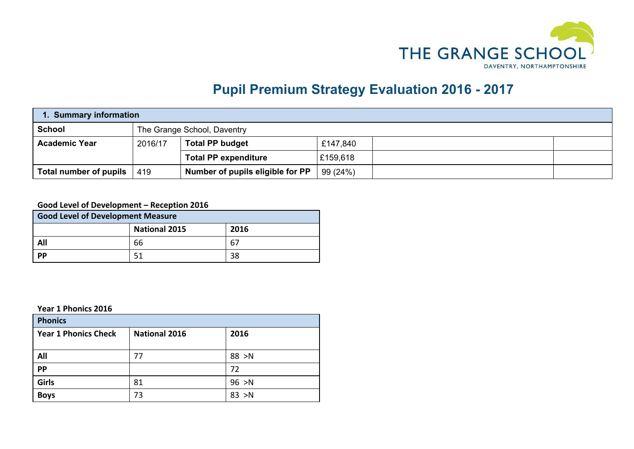

## **Pupil Premium Strategy Evaluation 2016 - 2017**

| 1. Summary information |         |                                  |          |  |  |
|------------------------|---------|----------------------------------|----------|--|--|
| <b>School</b>          |         | The Grange School, Daventry      |          |  |  |
| <b>Academic Year</b>   | 2016/17 | <b>Total PP budget</b>           | £147,840 |  |  |
|                        |         | <b>Total PP expenditure</b>      | £159,618 |  |  |
| Total number of pupils | 419     | Number of pupils eligible for PP | 99 (24%) |  |  |

## **Good Level of Development – Reception 2016**

| <b>Good Level of Development Measure</b> |                      |      |  |  |  |
|------------------------------------------|----------------------|------|--|--|--|
|                                          | <b>National 2015</b> | 2016 |  |  |  |
| All                                      | 66                   | 67   |  |  |  |
| <b>PP</b>                                | 38<br>51             |      |  |  |  |

**Year 1 Phonics 2016**

| <b>Phonics</b>              |                      |        |  |  |  |
|-----------------------------|----------------------|--------|--|--|--|
| <b>Year 1 Phonics Check</b> | <b>National 2016</b> | 2016   |  |  |  |
|                             |                      |        |  |  |  |
| All                         | 77                   | 88 > N |  |  |  |
| <b>PP</b>                   |                      | 72     |  |  |  |
| Girls                       | 81                   | 96 > N |  |  |  |
| <b>Boys</b>                 | 73                   | 83 > N |  |  |  |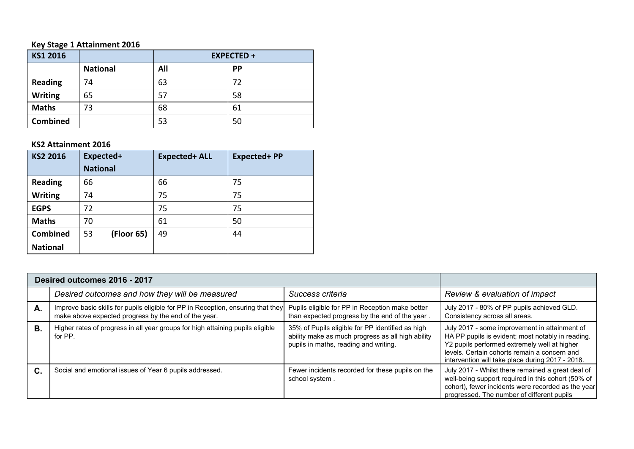## **Key Stage 1 Attainment 2016**

| KS1 2016        |                 | <b>EXPECTED +</b> |           |  |
|-----------------|-----------------|-------------------|-----------|--|
|                 | <b>National</b> | All               | <b>PP</b> |  |
| <b>Reading</b>  | 74              | 63                | 72        |  |
| <b>Writing</b>  | 65              | 57                | 58        |  |
| <b>Maths</b>    | 73              | 68                | 61        |  |
| <b>Combined</b> |                 | 53                | 50        |  |

## **KS2 Attainment 2016**

| KS2 2016        | Expected+        | <b>Expected+ ALL</b> | <b>Expected+PP</b> |
|-----------------|------------------|----------------------|--------------------|
|                 | <b>National</b>  |                      |                    |
| <b>Reading</b>  | 66               | 66                   | 75                 |
| <b>Writing</b>  | 74               | 75                   | 75                 |
| <b>EGPS</b>     | 72               | 75                   | 75                 |
| <b>Maths</b>    | 70               | 61                   | 50                 |
| Combined        | (Floor 65)<br>53 | 49                   | 44                 |
| <b>National</b> |                  |                      |                    |

|           | Desired outcomes 2016 - 2017                                                                                                             |                                                                                                                                                |                                                                                                                                                                                                                                                        |
|-----------|------------------------------------------------------------------------------------------------------------------------------------------|------------------------------------------------------------------------------------------------------------------------------------------------|--------------------------------------------------------------------------------------------------------------------------------------------------------------------------------------------------------------------------------------------------------|
|           | Desired outcomes and how they will be measured                                                                                           | Success criteria                                                                                                                               | Review & evaluation of impact                                                                                                                                                                                                                          |
| Α.        | Improve basic skills for pupils eligible for PP in Reception, ensuring that they<br>make above expected progress by the end of the year. | Pupils eligible for PP in Reception make better<br>than expected progress by the end of the year.                                              | July 2017 - 80% of PP pupils achieved GLD.<br>Consistency across all areas.                                                                                                                                                                            |
| <b>B.</b> | Higher rates of progress in all year groups for high attaining pupils eligible<br>for PP.                                                | 35% of Pupils eligible for PP identified as high<br>ability make as much progress as all high ability<br>pupils in maths, reading and writing. | July 2017 - some improvement in attainment of<br>HA PP pupils is evident; most notably in reading.<br>Y2 pupils performed extremely well at higher<br>levels. Certain cohorts remain a concern and<br>intervention will take place during 2017 - 2018. |
| C.        | Social and emotional issues of Year 6 pupils addressed.                                                                                  | Fewer incidents recorded for these pupils on the<br>school system.                                                                             | July 2017 - Whilst there remained a great deal of<br>well-being support required in this cohort (50% of<br>cohort), fewer incidents were recorded as the year<br>progressed. The number of different pupils                                            |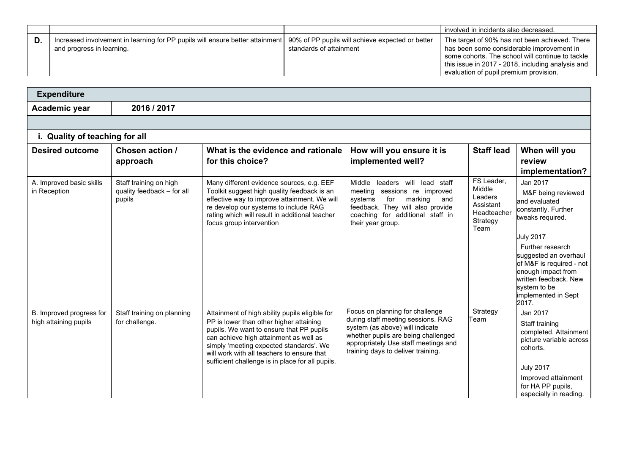|    |                                                                                                            |                                                                             | involved in incidents also decreased.                                                                                                                                                                                                          |
|----|------------------------------------------------------------------------------------------------------------|-----------------------------------------------------------------------------|------------------------------------------------------------------------------------------------------------------------------------------------------------------------------------------------------------------------------------------------|
| D. | Increased involvement in learning for PP pupils will ensure better attainment<br>and progress in learning. | 90% of PP pupils will achieve expected or better<br>standards of attainment | The target of 90% has not been achieved. There<br>has been some considerable improvement in<br>some cohorts. The school will continue to tackle<br>this issue in 2017 - 2018, including analysis and<br>evaluation of pupil premium provision. |

| <b>Expenditure</b>                                |                                                                |                                                                                                                                                                                                                                                                                                                              |                                                                                                                                                                                                                               |                                                                                 |                                                                                                                                                                                                                                                                                        |
|---------------------------------------------------|----------------------------------------------------------------|------------------------------------------------------------------------------------------------------------------------------------------------------------------------------------------------------------------------------------------------------------------------------------------------------------------------------|-------------------------------------------------------------------------------------------------------------------------------------------------------------------------------------------------------------------------------|---------------------------------------------------------------------------------|----------------------------------------------------------------------------------------------------------------------------------------------------------------------------------------------------------------------------------------------------------------------------------------|
| Academic year                                     | 2016 / 2017                                                    |                                                                                                                                                                                                                                                                                                                              |                                                                                                                                                                                                                               |                                                                                 |                                                                                                                                                                                                                                                                                        |
|                                                   |                                                                |                                                                                                                                                                                                                                                                                                                              |                                                                                                                                                                                                                               |                                                                                 |                                                                                                                                                                                                                                                                                        |
| i. Quality of teaching for all                    |                                                                |                                                                                                                                                                                                                                                                                                                              |                                                                                                                                                                                                                               |                                                                                 |                                                                                                                                                                                                                                                                                        |
| <b>Desired outcome</b>                            | Chosen action /<br>approach                                    | What is the evidence and rationale<br>for this choice?                                                                                                                                                                                                                                                                       | How will you ensure it is<br>implemented well?                                                                                                                                                                                | <b>Staff lead</b>                                                               | When will you<br>review                                                                                                                                                                                                                                                                |
|                                                   |                                                                |                                                                                                                                                                                                                                                                                                                              |                                                                                                                                                                                                                               |                                                                                 | implementation?                                                                                                                                                                                                                                                                        |
| A. Improved basic skills<br>in Reception          | Staff training on high<br>quality feedback - for all<br>pupils | Many different evidence sources, e.g. EEF<br>Toolkit suggest high quality feedback is an<br>effective way to improve attainment. We will<br>re develop our systems to include RAG<br>rating which will result in additional teacher<br>focus group intervention                                                              | leaders will lead staff<br>Middle<br>meeting sessions re improved<br>for<br>marking<br>systems<br>and<br>feedback. They will also provide<br>coaching for additional staff in<br>their year group.                            | FS Leader,<br>Middle<br>Leaders<br>Assistant<br>Headteacher<br>Strategy<br>Team | Jan 2017<br>M&F being reviewed<br>and evaluated<br>constantly. Further<br>tweaks required.<br><b>July 2017</b><br>Further research<br>suggested an overhaul<br>of M&F is required - not<br>enough impact from<br>written feedback. New<br>system to be<br>implemented in Sept<br>2017. |
| B. Improved progress for<br>high attaining pupils | Staff training on planning<br>for challenge.                   | Attainment of high ability pupils eligible for<br>PP is lower than other higher attaining<br>pupils. We want to ensure that PP pupils<br>can achieve high attainment as well as<br>simply 'meeting expected standards'. We<br>will work with all teachers to ensure that<br>sufficient challenge is in place for all pupils. | Focus on planning for challenge<br>during staff meeting sessions. RAG<br>system (as above) will indicate<br>whether pupils are being challenged<br>appropriately Use staff meetings and<br>training days to deliver training. | Strategy<br>Team                                                                | Jan 2017<br>Staff training<br>completed. Attainment<br>picture variable across<br>cohorts.<br><b>July 2017</b><br>Improved attainment<br>for HA PP pupils,<br>especially in reading.                                                                                                   |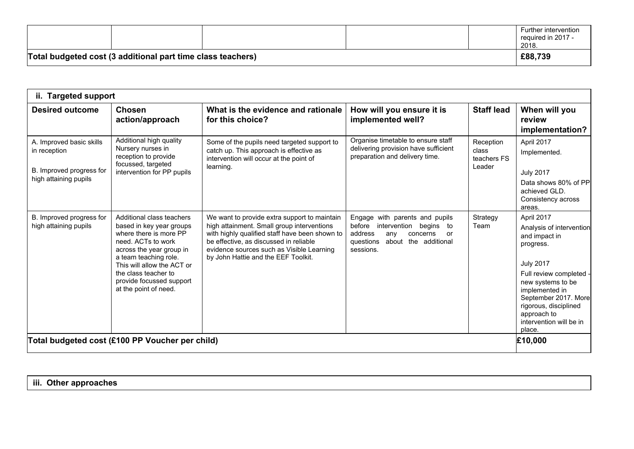| Total budgeted cost (3 additional part time class teachers) |  |  | £88,739                                             |
|-------------------------------------------------------------|--|--|-----------------------------------------------------|
|                                                             |  |  | Further intervention<br>required in 2017 -<br>2018. |

| ii. Targeted support                                                                          |                                                                                                                                                                                                                                                                       |                                                                                                                                                                                                                                                                            |                                                                                                                                                                |                                             |                                                                                                                                                                                                                                                               |
|-----------------------------------------------------------------------------------------------|-----------------------------------------------------------------------------------------------------------------------------------------------------------------------------------------------------------------------------------------------------------------------|----------------------------------------------------------------------------------------------------------------------------------------------------------------------------------------------------------------------------------------------------------------------------|----------------------------------------------------------------------------------------------------------------------------------------------------------------|---------------------------------------------|---------------------------------------------------------------------------------------------------------------------------------------------------------------------------------------------------------------------------------------------------------------|
| <b>Desired outcome</b>                                                                        | <b>Chosen</b><br>action/approach                                                                                                                                                                                                                                      | What is the evidence and rationale<br>for this choice?                                                                                                                                                                                                                     | How will you ensure it is<br>implemented well?                                                                                                                 | <b>Staff lead</b>                           | When will you<br>review<br>implementation?                                                                                                                                                                                                                    |
| A. Improved basic skills<br>in reception<br>B. Improved progress for<br>high attaining pupils | Additional high quality<br>Nursery nurses in<br>reception to provide<br>focussed, targeted<br>intervention for PP pupils                                                                                                                                              | Some of the pupils need targeted support to<br>catch up. This approach is effective as<br>intervention will occur at the point of<br>learning.                                                                                                                             | Organise timetable to ensure staff<br>delivering provision have sufficient<br>preparation and delivery time.                                                   | Reception<br>class<br>teachers FS<br>Leader | April 2017<br>Implemented.<br><b>July 2017</b><br>Data shows 80% of PP<br>achieved GLD.<br>Consistency across<br>areas.                                                                                                                                       |
| B. Improved progress for<br>high attaining pupils                                             | Additional class teachers<br>based in key year groups<br>where there is more PP<br>need. ACTs to work<br>across the year group in<br>a team teaching role.<br>This will allow the ACT or<br>the class teacher to<br>provide focussed support<br>at the point of need. | We want to provide extra support to maintain<br>high attainment. Small group interventions<br>with highly qualified staff have been shown to<br>be effective, as discussed in reliable<br>evidence sources such as Visible Learning<br>by John Hattie and the EEF Toolkit. | with parents and pupils<br>Engage<br>before<br>intervention<br>begins to<br>address<br>anv<br>concerns<br>or<br>about the additional<br>questions<br>sessions. | Strategy<br>Team                            | April 2017<br>Analysis of intervention<br>and impact in<br>progress.<br><b>July 2017</b><br>Full review completed<br>new systems to be<br>implemented in<br>September 2017. More<br>rigorous, disciplined<br>approach to<br>intervention will be in<br>place. |
|                                                                                               | Total budgeted cost (£100 PP Voucher per child)                                                                                                                                                                                                                       |                                                                                                                                                                                                                                                                            |                                                                                                                                                                |                                             | £10,000                                                                                                                                                                                                                                                       |

**iii. Other approaches**